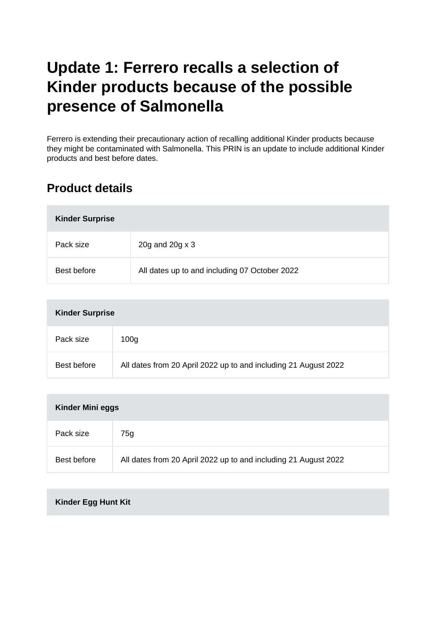# **Update 1: Ferrero recalls a selection of Kinder products because of the possible presence of Salmonella**

Ferrero is extending their precautionary action of recalling additional Kinder products because they might be contaminated with Salmonella. This PRIN is an update to include additional Kinder products and best before dates.

## **Product details**

| <b>Kinder Surprise</b> |                                               |
|------------------------|-----------------------------------------------|
| Pack size              | 20g and 20g x 3                               |
| Best before            | All dates up to and including 07 October 2022 |

| <b>Kinder Surprise</b> |                                                                 |
|------------------------|-----------------------------------------------------------------|
| Pack size              | 100 <sub>g</sub>                                                |
| Best before            | All dates from 20 April 2022 up to and including 21 August 2022 |

| <b>Kinder Mini eggs</b> |                                                                 |
|-------------------------|-----------------------------------------------------------------|
| Pack size               | 75g                                                             |
| Best before             | All dates from 20 April 2022 up to and including 21 August 2022 |

#### **Kinder Egg Hunt Kit**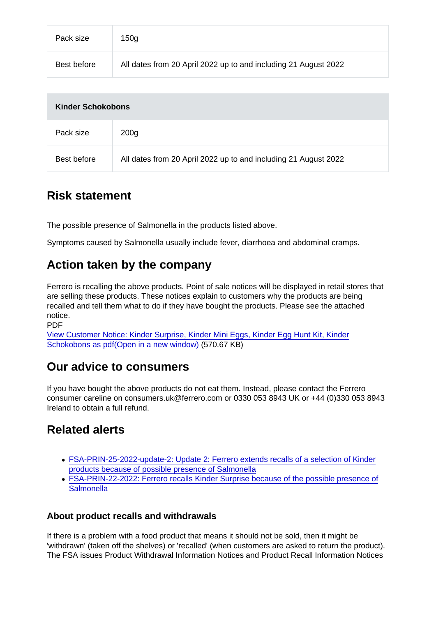| Pack size   | 150 <sub>g</sub>                                                |
|-------------|-----------------------------------------------------------------|
| Best before | All dates from 20 April 2022 up to and including 21 August 2022 |

| Kinder Schokobons |                                                                 |
|-------------------|-----------------------------------------------------------------|
| Pack size         | 200 <sub>g</sub>                                                |
| Best before       | All dates from 20 April 2022 up to and including 21 August 2022 |

#### Risk statement

The possible presence of Salmonella in the products listed above.

Symptoms caused by Salmonella usually include fever, diarrhoea and abdominal cramps.

#### Action taken by the company

Ferrero is recalling the above products. Point of sale notices will be displayed in retail stores that are selling these products. These notices explain to customers why the products are being recalled and tell them what to do if they have bought the products. Please see the attached notice.

PDF

[View Customer Notice: Kinder Surprise, Kinder Mini Eggs, Kinder Egg Hunt Kit, Kinder](https://s3-eu-west-1.amazonaws.com/fsa-alerts-files/production/FSA-PRIN-22-2022-update-1/FSA-PRIN-22-2022-Update-1-Ferrero-recalls-selected-batches-of-Kinder-Surprise-and-additional-Kinder-products-due-to-the-possible-presence-of-salmonella.pdf) [Schokobons as pdf\(Open in a new window\)](https://s3-eu-west-1.amazonaws.com/fsa-alerts-files/production/FSA-PRIN-22-2022-update-1/FSA-PRIN-22-2022-Update-1-Ferrero-recalls-selected-batches-of-Kinder-Surprise-and-additional-Kinder-products-due-to-the-possible-presence-of-salmonella.pdf) (570.67 KB)

#### Our advice to consumers

If you have bought the above products do not eat them. Instead, please contact the Ferrero consumer careline on consumers.uk@ferrero.com or 0330 053 8943 UK or +44 (0)330 053 8943 Ireland to obtain a full refund.

### Related alerts

- [FSA-PRIN-25-2022-update-2: Update 2: Ferrero extends recalls of a selection of Kinder](https://www.food.gov.uk/news-alerts/alert/fsa-prin-25-2022-update-2) [products because of possible presence of Salmonella](https://www.food.gov.uk/news-alerts/alert/fsa-prin-25-2022-update-2)
- [FSA-PRIN-22-2022: Ferrero recalls Kinder Surprise because of the possible presence of](https://www.food.gov.uk/news-alerts/alert/fsa-prin-22-2022) **[Salmonella](https://www.food.gov.uk/news-alerts/alert/fsa-prin-22-2022)**

#### About product recalls and withdrawals

If there is a problem with a food product that means it should not be sold, then it might be 'withdrawn' (taken off the shelves) or 'recalled' (when customers are asked to return the product). The FSA issues Product Withdrawal Information Notices and Product Recall Information Notices